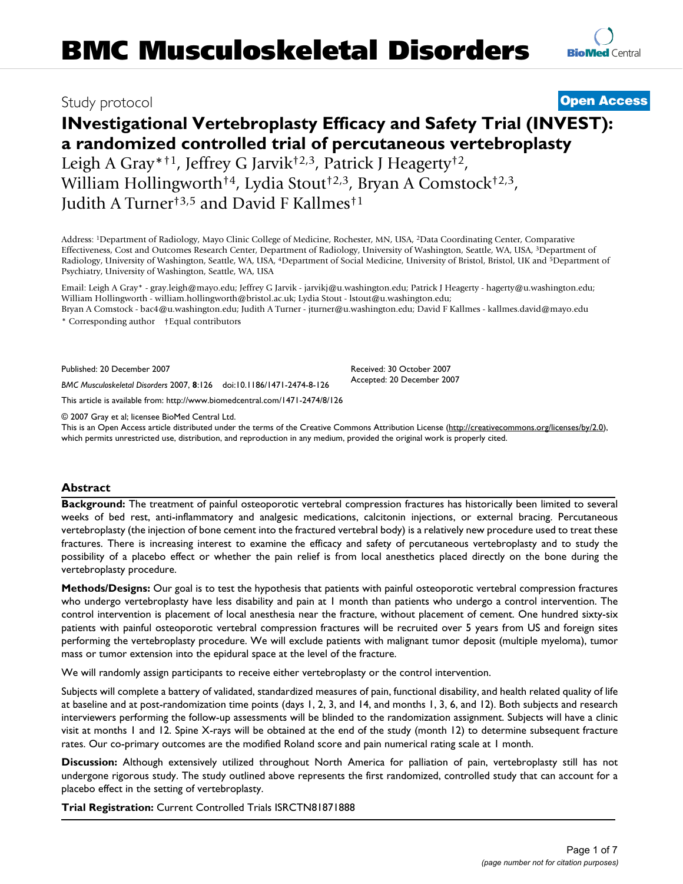## Study protocol **[Open Access](http://www.biomedcentral.com/info/about/charter/)**

**[BioMed](http://www.biomedcentral.com/)** Central

# **INvestigational Vertebroplasty Efficacy and Safety Trial (INVEST): a randomized controlled trial of percutaneous vertebroplasty** Leigh A Gray\*†1, Jeffrey G Jarvik†2,3, Patrick J Heagerty†2,

William Hollingworth†4, Lydia Stout†2,3, Bryan A Comstock†2,3, Judith A Turner†3,5 and David F Kallmes†1

Address: 1Department of Radiology, Mayo Clinic College of Medicine, Rochester, MN, USA, 2Data Coordinating Center, Comparative Effectiveness, Cost and Outcomes Research Center, Department of Radiology, University of Washington, Seattle, WA, USA, 3Department of Radiology, University of Washington, Seattle, WA, USA, 4Department of Social Medicine, University of Bristol, Bristol, UK and 5Department of Psychiatry, University of Washington, Seattle, WA, USA

Email: Leigh A Gray\* - gray.leigh@mayo.edu; Jeffrey G Jarvik - jarvikj@u.washington.edu; Patrick J Heagerty - hagerty@u.washington.edu; William Hollingworth - william.hollingworth@bristol.ac.uk; Lydia Stout - lstout@u.washington.edu;

Bryan A Comstock - bac4@u.washington.edu; Judith A Turner - jturner@u.washington.edu; David F Kallmes - kallmes.david@mayo.edu \* Corresponding author †Equal contributors

Published: 20 December 2007

Received: 30 October 2007 Accepted: 20 December 2007

*BMC Musculoskeletal Disorders* 2007, **8**:126 doi:10.1186/1471-2474-8-126

[This article is available from: http://www.biomedcentral.com/1471-2474/8/126](http://www.biomedcentral.com/1471-2474/8/126) © 2007 Gray et al; licensee BioMed Central Ltd.

This is an Open Access article distributed under the terms of the Creative Commons Attribution License [\(http://creativecommons.org/licenses/by/2.0\)](http://creativecommons.org/licenses/by/2.0), which permits unrestricted use, distribution, and reproduction in any medium, provided the original work is properly cited.

#### **Abstract**

**Background:** The treatment of painful osteoporotic vertebral compression fractures has historically been limited to several weeks of bed rest, anti-inflammatory and analgesic medications, calcitonin injections, or external bracing. Percutaneous vertebroplasty (the injection of bone cement into the fractured vertebral body) is a relatively new procedure used to treat these fractures. There is increasing interest to examine the efficacy and safety of percutaneous vertebroplasty and to study the possibility of a placebo effect or whether the pain relief is from local anesthetics placed directly on the bone during the vertebroplasty procedure.

**Methods/Designs:** Our goal is to test the hypothesis that patients with painful osteoporotic vertebral compression fractures who undergo vertebroplasty have less disability and pain at 1 month than patients who undergo a control intervention. The control intervention is placement of local anesthesia near the fracture, without placement of cement. One hundred sixty-six patients with painful osteoporotic vertebral compression fractures will be recruited over 5 years from US and foreign sites performing the vertebroplasty procedure. We will exclude patients with malignant tumor deposit (multiple myeloma), tumor mass or tumor extension into the epidural space at the level of the fracture.

We will randomly assign participants to receive either vertebroplasty or the control intervention.

Subjects will complete a battery of validated, standardized measures of pain, functional disability, and health related quality of life at baseline and at post-randomization time points (days 1, 2, 3, and 14, and months 1, 3, 6, and 12). Both subjects and research interviewers performing the follow-up assessments will be blinded to the randomization assignment. Subjects will have a clinic visit at months 1 and 12. Spine X-rays will be obtained at the end of the study (month 12) to determine subsequent fracture rates. Our co-primary outcomes are the modified Roland score and pain numerical rating scale at 1 month.

**Discussion:** Although extensively utilized throughout North America for palliation of pain, vertebroplasty still has not undergone rigorous study. The study outlined above represents the first randomized, controlled study that can account for a placebo effect in the setting of vertebroplasty.

**Trial Registration:** Current Controlled Trials ISRCTN81871888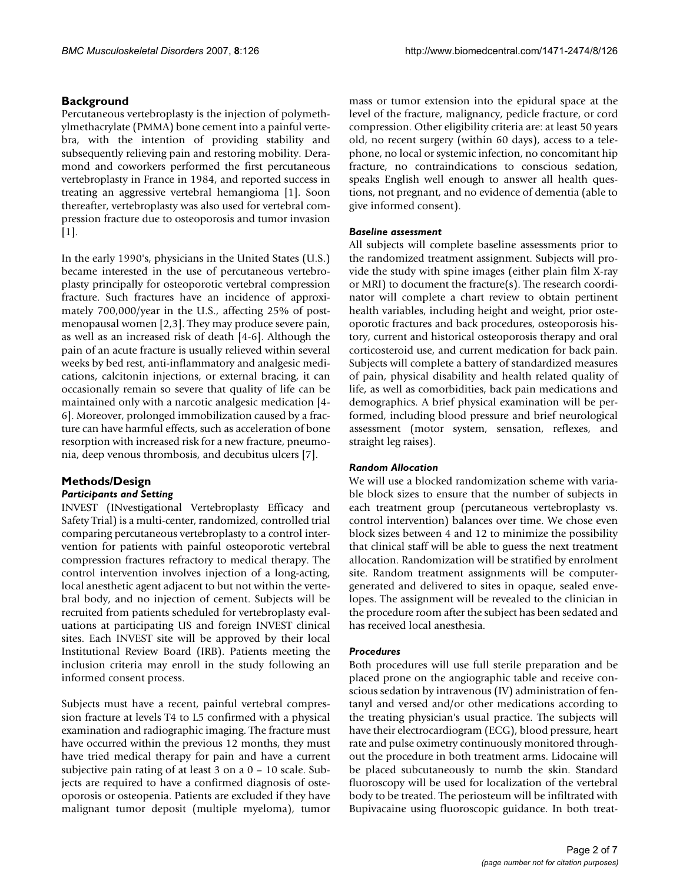### **Background**

Percutaneous vertebroplasty is the injection of polymethylmethacrylate (PMMA) bone cement into a painful vertebra, with the intention of providing stability and subsequently relieving pain and restoring mobility. Deramond and coworkers performed the first percutaneous vertebroplasty in France in 1984, and reported success in treating an aggressive vertebral hemangioma [1]. Soon thereafter, vertebroplasty was also used for vertebral compression fracture due to osteoporosis and tumor invasion  $[1]$ .

In the early 1990's, physicians in the United States (U.S.) became interested in the use of percutaneous vertebroplasty principally for osteoporotic vertebral compression fracture. Such fractures have an incidence of approximately 700,000/year in the U.S., affecting 25% of postmenopausal women [2,3]. They may produce severe pain, as well as an increased risk of death [4-6]. Although the pain of an acute fracture is usually relieved within several weeks by bed rest, anti-inflammatory and analgesic medications, calcitonin injections, or external bracing, it can occasionally remain so severe that quality of life can be maintained only with a narcotic analgesic medication [4- 6]. Moreover, prolonged immobilization caused by a fracture can have harmful effects, such as acceleration of bone resorption with increased risk for a new fracture, pneumonia, deep venous thrombosis, and decubitus ulcers [7].

# **Methods/Design**

#### *Participants and Setting*

INVEST (INvestigational Vertebroplasty Efficacy and Safety Trial) is a multi-center, randomized, controlled trial comparing percutaneous vertebroplasty to a control intervention for patients with painful osteoporotic vertebral compression fractures refractory to medical therapy. The control intervention involves injection of a long-acting, local anesthetic agent adjacent to but not within the vertebral body, and no injection of cement. Subjects will be recruited from patients scheduled for vertebroplasty evaluations at participating US and foreign INVEST clinical sites. Each INVEST site will be approved by their local Institutional Review Board (IRB). Patients meeting the inclusion criteria may enroll in the study following an informed consent process.

Subjects must have a recent, painful vertebral compression fracture at levels T4 to L5 confirmed with a physical examination and radiographic imaging. The fracture must have occurred within the previous 12 months, they must have tried medical therapy for pain and have a current subjective pain rating of at least 3 on a 0 – 10 scale. Subjects are required to have a confirmed diagnosis of osteoporosis or osteopenia. Patients are excluded if they have malignant tumor deposit (multiple myeloma), tumor mass or tumor extension into the epidural space at the level of the fracture, malignancy, pedicle fracture, or cord compression. Other eligibility criteria are: at least 50 years old, no recent surgery (within 60 days), access to a telephone, no local or systemic infection, no concomitant hip fracture, no contraindications to conscious sedation, speaks English well enough to answer all health questions, not pregnant, and no evidence of dementia (able to give informed consent).

#### *Baseline assessment*

All subjects will complete baseline assessments prior to the randomized treatment assignment. Subjects will provide the study with spine images (either plain film X-ray or MRI) to document the fracture(s). The research coordinator will complete a chart review to obtain pertinent health variables, including height and weight, prior osteoporotic fractures and back procedures, osteoporosis history, current and historical osteoporosis therapy and oral corticosteroid use, and current medication for back pain. Subjects will complete a battery of standardized measures of pain, physical disability and health related quality of life, as well as comorbidities, back pain medications and demographics. A brief physical examination will be performed, including blood pressure and brief neurological assessment (motor system, sensation, reflexes, and straight leg raises).

#### *Random Allocation*

We will use a blocked randomization scheme with variable block sizes to ensure that the number of subjects in each treatment group (percutaneous vertebroplasty vs. control intervention) balances over time. We chose even block sizes between 4 and 12 to minimize the possibility that clinical staff will be able to guess the next treatment allocation. Randomization will be stratified by enrolment site. Random treatment assignments will be computergenerated and delivered to sites in opaque, sealed envelopes. The assignment will be revealed to the clinician in the procedure room after the subject has been sedated and has received local anesthesia.

#### *Procedures*

Both procedures will use full sterile preparation and be placed prone on the angiographic table and receive conscious sedation by intravenous (IV) administration of fentanyl and versed and/or other medications according to the treating physician's usual practice. The subjects will have their electrocardiogram (ECG), blood pressure, heart rate and pulse oximetry continuously monitored throughout the procedure in both treatment arms. Lidocaine will be placed subcutaneously to numb the skin. Standard fluoroscopy will be used for localization of the vertebral body to be treated. The periosteum will be infiltrated with Bupivacaine using fluoroscopic guidance. In both treat-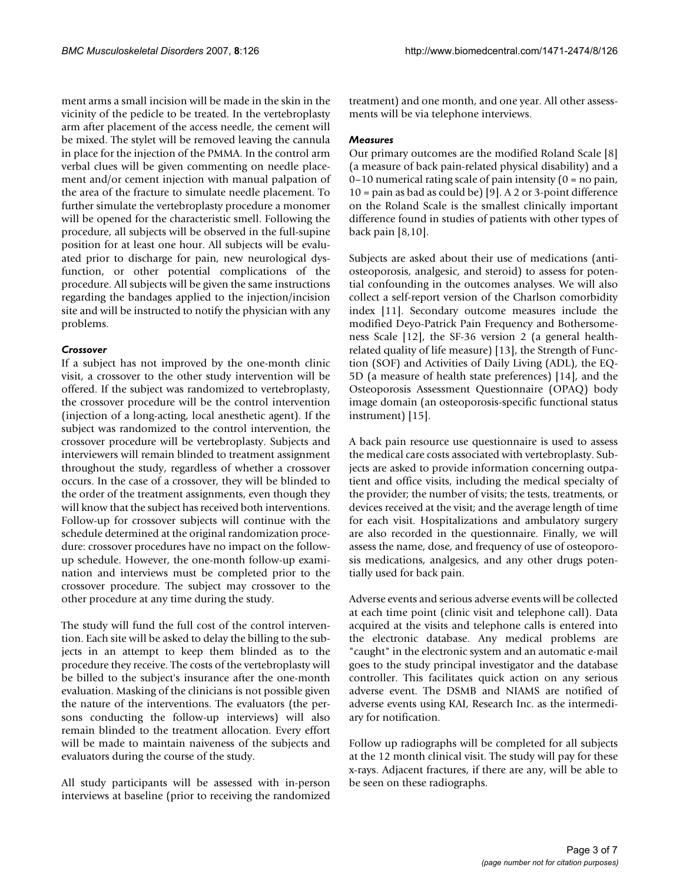ment arms a small incision will be made in the skin in the vicinity of the pedicle to be treated. In the vertebroplasty arm after placement of the access needle, the cement will be mixed. The stylet will be removed leaving the cannula in place for the injection of the PMMA. In the control arm verbal clues will be given commenting on needle placement and/or cement injection with manual palpation of the area of the fracture to simulate needle placement. To further simulate the vertebroplasty procedure a monomer will be opened for the characteristic smell. Following the procedure, all subjects will be observed in the full-supine position for at least one hour. All subjects will be evaluated prior to discharge for pain, new neurological dysfunction, or other potential complications of the procedure. All subjects will be given the same instructions regarding the bandages applied to the injection/incision site and will be instructed to notify the physician with any problems.

#### *Crossover*

If a subject has not improved by the one-month clinic visit, a crossover to the other study intervention will be offered. If the subject was randomized to vertebroplasty, the crossover procedure will be the control intervention (injection of a long-acting, local anesthetic agent). If the subject was randomized to the control intervention, the crossover procedure will be vertebroplasty. Subjects and interviewers will remain blinded to treatment assignment throughout the study, regardless of whether a crossover occurs. In the case of a crossover, they will be blinded to the order of the treatment assignments, even though they will know that the subject has received both interventions. Follow-up for crossover subjects will continue with the schedule determined at the original randomization procedure: crossover procedures have no impact on the followup schedule. However, the one-month follow-up examination and interviews must be completed prior to the crossover procedure. The subject may crossover to the other procedure at any time during the study.

The study will fund the full cost of the control intervention. Each site will be asked to delay the billing to the subjects in an attempt to keep them blinded as to the procedure they receive. The costs of the vertebroplasty will be billed to the subject's insurance after the one-month evaluation. Masking of the clinicians is not possible given the nature of the interventions. The evaluators (the persons conducting the follow-up interviews) will also remain blinded to the treatment allocation. Every effort will be made to maintain naiveness of the subjects and evaluators during the course of the study.

All study participants will be assessed with in-person interviews at baseline (prior to receiving the randomized treatment) and one month, and one year. All other assessments will be via telephone interviews.

#### *Measures*

Our primary outcomes are the modified Roland Scale [8] (a measure of back pain-related physical disability) and a 0–10 numerical rating scale of pain intensity  $(0 = no \, pain,$ 10 = pain as bad as could be) [9]. A 2 or 3-point difference on the Roland Scale is the smallest clinically important difference found in studies of patients with other types of back pain [8,10].

Subjects are asked about their use of medications (antiosteoporosis, analgesic, and steroid) to assess for potential confounding in the outcomes analyses. We will also collect a self-report version of the Charlson comorbidity index [11]. Secondary outcome measures include the modified Deyo-Patrick Pain Frequency and Bothersomeness Scale [12], the SF-36 version 2 (a general healthrelated quality of life measure) [13], the Strength of Function (SOF) and Activities of Daily Living (ADL), the EQ-5D (a measure of health state preferences) [14], and the Osteoporosis Assessment Questionnaire (OPAQ) body image domain (an osteoporosis-specific functional status instrument) [15].

A back pain resource use questionnaire is used to assess the medical care costs associated with vertebroplasty. Subjects are asked to provide information concerning outpatient and office visits, including the medical specialty of the provider; the number of visits; the tests, treatments, or devices received at the visit; and the average length of time for each visit. Hospitalizations and ambulatory surgery are also recorded in the questionnaire. Finally, we will assess the name, dose, and frequency of use of osteoporosis medications, analgesics, and any other drugs potentially used for back pain.

Adverse events and serious adverse events will be collected at each time point (clinic visit and telephone call). Data acquired at the visits and telephone calls is entered into the electronic database. Any medical problems are "caught" in the electronic system and an automatic e-mail goes to the study principal investigator and the database controller. This facilitates quick action on any serious adverse event. The DSMB and NIAMS are notified of adverse events using KAI, Research Inc. as the intermediary for notification.

Follow up radiographs will be completed for all subjects at the 12 month clinical visit. The study will pay for these x-rays. Adjacent fractures, if there are any, will be able to be seen on these radiographs.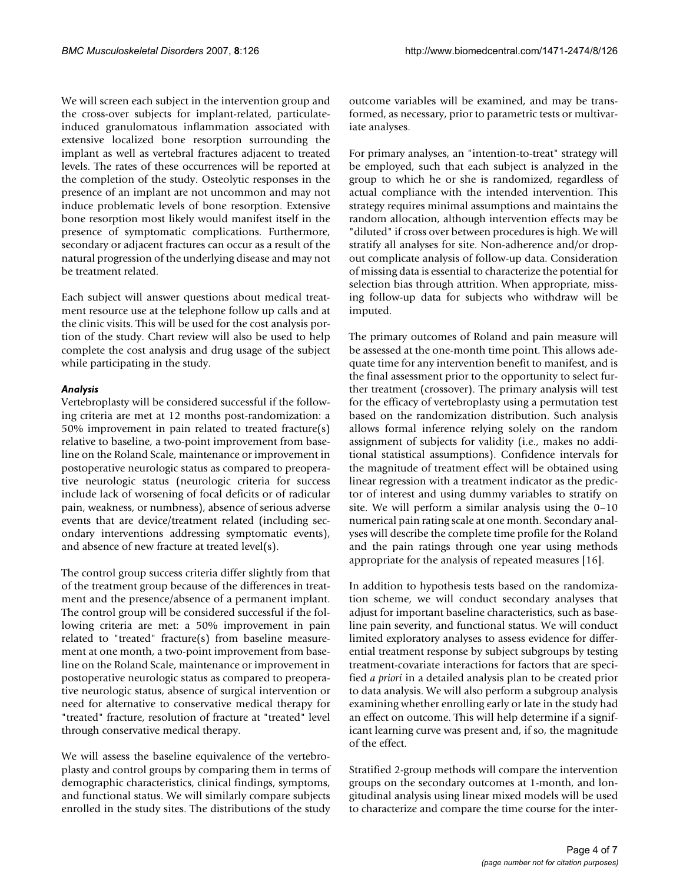We will screen each subject in the intervention group and the cross-over subjects for implant-related, particulateinduced granulomatous inflammation associated with extensive localized bone resorption surrounding the implant as well as vertebral fractures adjacent to treated levels. The rates of these occurrences will be reported at the completion of the study. Osteolytic responses in the presence of an implant are not uncommon and may not induce problematic levels of bone resorption. Extensive bone resorption most likely would manifest itself in the presence of symptomatic complications. Furthermore, secondary or adjacent fractures can occur as a result of the natural progression of the underlying disease and may not be treatment related.

Each subject will answer questions about medical treatment resource use at the telephone follow up calls and at the clinic visits. This will be used for the cost analysis portion of the study. Chart review will also be used to help complete the cost analysis and drug usage of the subject while participating in the study.

#### *Analysis*

Vertebroplasty will be considered successful if the following criteria are met at 12 months post-randomization: a 50% improvement in pain related to treated fracture(s) relative to baseline, a two-point improvement from baseline on the Roland Scale, maintenance or improvement in postoperative neurologic status as compared to preoperative neurologic status (neurologic criteria for success include lack of worsening of focal deficits or of radicular pain, weakness, or numbness), absence of serious adverse events that are device/treatment related (including secondary interventions addressing symptomatic events), and absence of new fracture at treated level(s).

The control group success criteria differ slightly from that of the treatment group because of the differences in treatment and the presence/absence of a permanent implant. The control group will be considered successful if the following criteria are met: a 50% improvement in pain related to "treated" fracture(s) from baseline measurement at one month, a two-point improvement from baseline on the Roland Scale, maintenance or improvement in postoperative neurologic status as compared to preoperative neurologic status, absence of surgical intervention or need for alternative to conservative medical therapy for "treated" fracture, resolution of fracture at "treated" level through conservative medical therapy.

We will assess the baseline equivalence of the vertebroplasty and control groups by comparing them in terms of demographic characteristics, clinical findings, symptoms, and functional status. We will similarly compare subjects enrolled in the study sites. The distributions of the study outcome variables will be examined, and may be transformed, as necessary, prior to parametric tests or multivariate analyses.

For primary analyses, an "intention-to-treat" strategy will be employed, such that each subject is analyzed in the group to which he or she is randomized, regardless of actual compliance with the intended intervention. This strategy requires minimal assumptions and maintains the random allocation, although intervention effects may be "diluted" if cross over between procedures is high. We will stratify all analyses for site. Non-adherence and/or dropout complicate analysis of follow-up data. Consideration of missing data is essential to characterize the potential for selection bias through attrition. When appropriate, missing follow-up data for subjects who withdraw will be imputed.

The primary outcomes of Roland and pain measure will be assessed at the one-month time point. This allows adequate time for any intervention benefit to manifest, and is the final assessment prior to the opportunity to select further treatment (crossover). The primary analysis will test for the efficacy of vertebroplasty using a permutation test based on the randomization distribution. Such analysis allows formal inference relying solely on the random assignment of subjects for validity (i.e., makes no additional statistical assumptions). Confidence intervals for the magnitude of treatment effect will be obtained using linear regression with a treatment indicator as the predictor of interest and using dummy variables to stratify on site. We will perform a similar analysis using the 0–10 numerical pain rating scale at one month. Secondary analyses will describe the complete time profile for the Roland and the pain ratings through one year using methods appropriate for the analysis of repeated measures [16].

In addition to hypothesis tests based on the randomization scheme, we will conduct secondary analyses that adjust for important baseline characteristics, such as baseline pain severity, and functional status. We will conduct limited exploratory analyses to assess evidence for differential treatment response by subject subgroups by testing treatment-covariate interactions for factors that are specified *a priori* in a detailed analysis plan to be created prior to data analysis. We will also perform a subgroup analysis examining whether enrolling early or late in the study had an effect on outcome. This will help determine if a significant learning curve was present and, if so, the magnitude of the effect.

Stratified 2-group methods will compare the intervention groups on the secondary outcomes at 1-month, and longitudinal analysis using linear mixed models will be used to characterize and compare the time course for the inter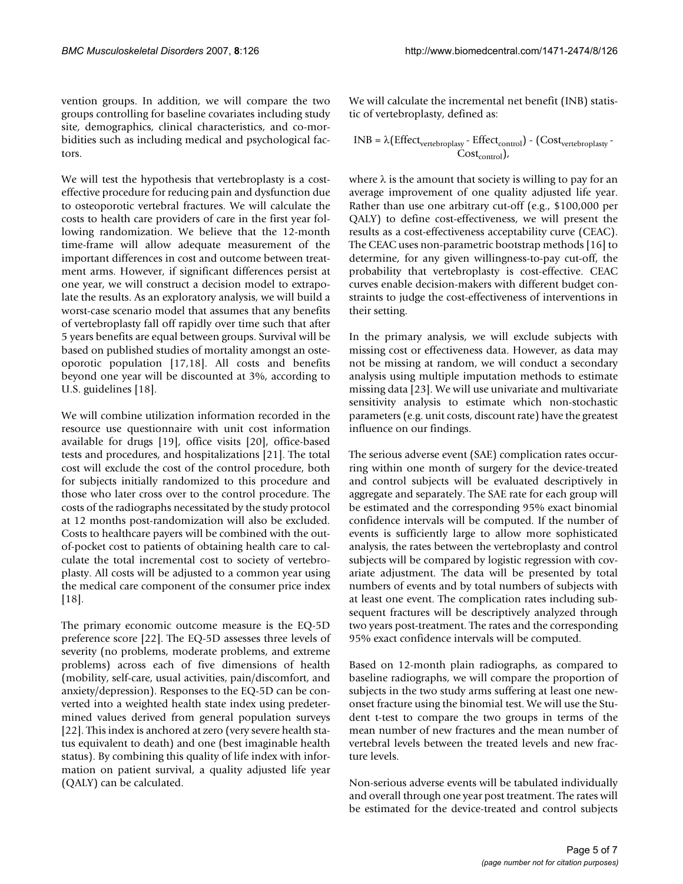vention groups. In addition, we will compare the two groups controlling for baseline covariates including study site, demographics, clinical characteristics, and co-morbidities such as including medical and psychological factors.

We will test the hypothesis that vertebroplasty is a costeffective procedure for reducing pain and dysfunction due to osteoporotic vertebral fractures. We will calculate the costs to health care providers of care in the first year following randomization. We believe that the 12-month time-frame will allow adequate measurement of the important differences in cost and outcome between treatment arms. However, if significant differences persist at one year, we will construct a decision model to extrapolate the results. As an exploratory analysis, we will build a worst-case scenario model that assumes that any benefits of vertebroplasty fall off rapidly over time such that after 5 years benefits are equal between groups. Survival will be based on published studies of mortality amongst an osteoporotic population [17,18]. All costs and benefits beyond one year will be discounted at 3%, according to U.S. guidelines [18].

We will combine utilization information recorded in the resource use questionnaire with unit cost information available for drugs [19], office visits [20], office-based tests and procedures, and hospitalizations [21]. The total cost will exclude the cost of the control procedure, both for subjects initially randomized to this procedure and those who later cross over to the control procedure. The costs of the radiographs necessitated by the study protocol at 12 months post-randomization will also be excluded. Costs to healthcare payers will be combined with the outof-pocket cost to patients of obtaining health care to calculate the total incremental cost to society of vertebroplasty. All costs will be adjusted to a common year using the medical care component of the consumer price index [18].

The primary economic outcome measure is the EQ-5D preference score [22]. The EQ-5D assesses three levels of severity (no problems, moderate problems, and extreme problems) across each of five dimensions of health (mobility, self-care, usual activities, pain/discomfort, and anxiety/depression). Responses to the EQ-5D can be converted into a weighted health state index using predetermined values derived from general population surveys [22]. This index is anchored at zero (very severe health status equivalent to death) and one (best imaginable health status). By combining this quality of life index with information on patient survival, a quality adjusted life year (QALY) can be calculated.

We will calculate the incremental net benefit (INB) statistic of vertebroplasty, defined as:

$$
\text{INB} = \lambda \big(\text{Effect}_{\text{vertebroplasy}} - \text{Effect}_{\text{control}}\big) \cdot \big(\text{Cost}_{\text{vertebroplasty}} - \\ \text{Cost}_{\text{control}}\big),
$$

where  $\lambda$  is the amount that society is willing to pay for an average improvement of one quality adjusted life year. Rather than use one arbitrary cut-off (e.g., \$100,000 per QALY) to define cost-effectiveness, we will present the results as a cost-effectiveness acceptability curve (CEAC). The CEAC uses non-parametric bootstrap methods [16] to determine, for any given willingness-to-pay cut-off, the probability that vertebroplasty is cost-effective. CEAC curves enable decision-makers with different budget constraints to judge the cost-effectiveness of interventions in their setting.

In the primary analysis, we will exclude subjects with missing cost or effectiveness data. However, as data may not be missing at random, we will conduct a secondary analysis using multiple imputation methods to estimate missing data [23]. We will use univariate and multivariate sensitivity analysis to estimate which non-stochastic parameters (e.g. unit costs, discount rate) have the greatest influence on our findings.

The serious adverse event (SAE) complication rates occurring within one month of surgery for the device-treated and control subjects will be evaluated descriptively in aggregate and separately. The SAE rate for each group will be estimated and the corresponding 95% exact binomial confidence intervals will be computed. If the number of events is sufficiently large to allow more sophisticated analysis, the rates between the vertebroplasty and control subjects will be compared by logistic regression with covariate adjustment. The data will be presented by total numbers of events and by total numbers of subjects with at least one event. The complication rates including subsequent fractures will be descriptively analyzed through two years post-treatment. The rates and the corresponding 95% exact confidence intervals will be computed.

Based on 12-month plain radiographs, as compared to baseline radiographs, we will compare the proportion of subjects in the two study arms suffering at least one newonset fracture using the binomial test. We will use the Student t-test to compare the two groups in terms of the mean number of new fractures and the mean number of vertebral levels between the treated levels and new fracture levels.

Non-serious adverse events will be tabulated individually and overall through one year post treatment. The rates will be estimated for the device-treated and control subjects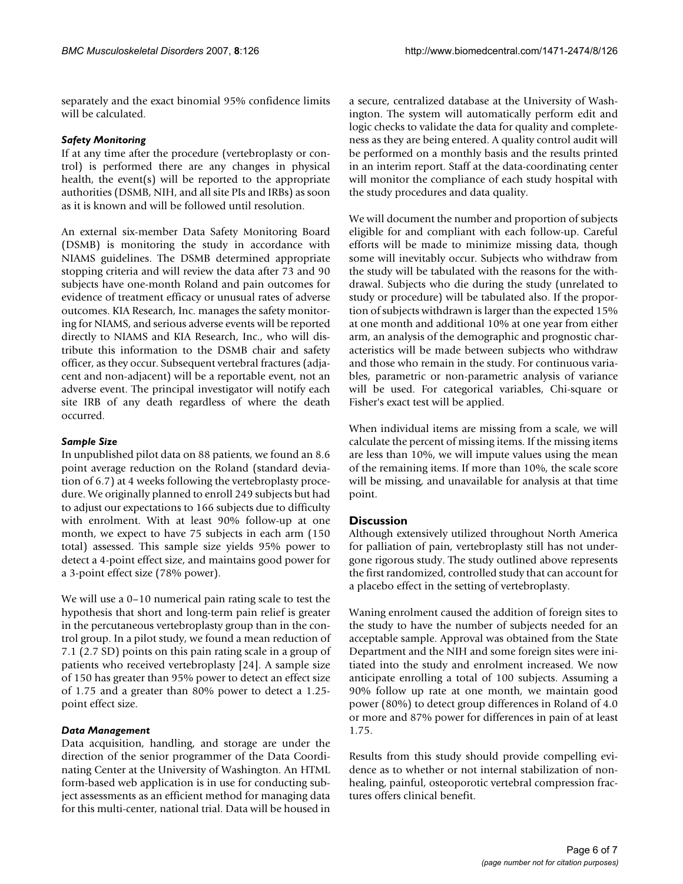separately and the exact binomial 95% confidence limits will be calculated.

#### *Safety Monitoring*

If at any time after the procedure (vertebroplasty or control) is performed there are any changes in physical health, the event(s) will be reported to the appropriate authorities (DSMB, NIH, and all site PIs and IRBs) as soon as it is known and will be followed until resolution.

An external six-member Data Safety Monitoring Board (DSMB) is monitoring the study in accordance with NIAMS guidelines. The DSMB determined appropriate stopping criteria and will review the data after 73 and 90 subjects have one-month Roland and pain outcomes for evidence of treatment efficacy or unusual rates of adverse outcomes. KIA Research, Inc. manages the safety monitoring for NIAMS, and serious adverse events will be reported directly to NIAMS and KIA Research, Inc., who will distribute this information to the DSMB chair and safety officer, as they occur. Subsequent vertebral fractures (adjacent and non-adjacent) will be a reportable event, not an adverse event. The principal investigator will notify each site IRB of any death regardless of where the death occurred.

#### *Sample Size*

In unpublished pilot data on 88 patients, we found an 8.6 point average reduction on the Roland (standard deviation of 6.7) at 4 weeks following the vertebroplasty procedure. We originally planned to enroll 249 subjects but had to adjust our expectations to 166 subjects due to difficulty with enrolment. With at least 90% follow-up at one month, we expect to have 75 subjects in each arm (150 total) assessed. This sample size yields 95% power to detect a 4-point effect size, and maintains good power for a 3-point effect size (78% power).

We will use a 0–10 numerical pain rating scale to test the hypothesis that short and long-term pain relief is greater in the percutaneous vertebroplasty group than in the control group. In a pilot study, we found a mean reduction of 7.1 (2.7 SD) points on this pain rating scale in a group of patients who received vertebroplasty [24]. A sample size of 150 has greater than 95% power to detect an effect size of 1.75 and a greater than 80% power to detect a 1.25 point effect size.

#### *Data Management*

Data acquisition, handling, and storage are under the direction of the senior programmer of the Data Coordinating Center at the University of Washington. An HTML form-based web application is in use for conducting subject assessments as an efficient method for managing data for this multi-center, national trial. Data will be housed in

a secure, centralized database at the University of Washington. The system will automatically perform edit and logic checks to validate the data for quality and completeness as they are being entered. A quality control audit will be performed on a monthly basis and the results printed in an interim report. Staff at the data-coordinating center will monitor the compliance of each study hospital with the study procedures and data quality.

We will document the number and proportion of subjects eligible for and compliant with each follow-up. Careful efforts will be made to minimize missing data, though some will inevitably occur. Subjects who withdraw from the study will be tabulated with the reasons for the withdrawal. Subjects who die during the study (unrelated to study or procedure) will be tabulated also. If the proportion of subjects withdrawn is larger than the expected 15% at one month and additional 10% at one year from either arm, an analysis of the demographic and prognostic characteristics will be made between subjects who withdraw and those who remain in the study. For continuous variables, parametric or non-parametric analysis of variance will be used. For categorical variables, Chi-square or Fisher's exact test will be applied.

When individual items are missing from a scale, we will calculate the percent of missing items. If the missing items are less than 10%, we will impute values using the mean of the remaining items. If more than 10%, the scale score will be missing, and unavailable for analysis at that time point.

#### **Discussion**

Although extensively utilized throughout North America for palliation of pain, vertebroplasty still has not undergone rigorous study. The study outlined above represents the first randomized, controlled study that can account for a placebo effect in the setting of vertebroplasty.

Waning enrolment caused the addition of foreign sites to the study to have the number of subjects needed for an acceptable sample. Approval was obtained from the State Department and the NIH and some foreign sites were initiated into the study and enrolment increased. We now anticipate enrolling a total of 100 subjects. Assuming a 90% follow up rate at one month, we maintain good power (80%) to detect group differences in Roland of 4.0 or more and 87% power for differences in pain of at least 1.75.

Results from this study should provide compelling evidence as to whether or not internal stabilization of nonhealing, painful, osteoporotic vertebral compression fractures offers clinical benefit.